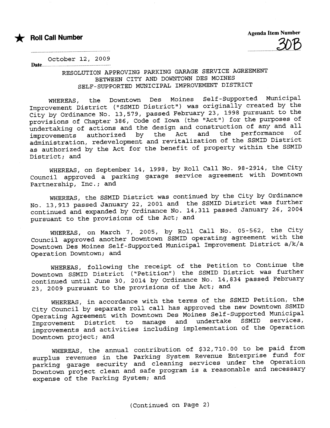

Date.....



October 12, 2009

.................................................................... ............................

## RESOLUTION APPROVING PARKING GARGE SERVICE AGREEMENT BETWEEN CITY AND DOWNTOWN DES MOINES SELF- SUPPORTED MUNICIPAL IMPROVEMENT DISTRICT

WHEREAS, the Downtown Des Moines Self-Supported Municipal<br>All the Constitution of the Mose and Tipelly created by the improvement District (" SSMID District") was originally created by the City by Ordinance No. 13,579, passed February 23, 1998 pursuant to the provisions of Chapter 386, Code of Iowa (the "Act") for the purposes of undertaking of actions and the design and construction of any and all<br>improvements authorized by the Act and the performance of improvements authorized by the Act and the performance of administration, redevelopment and revitalization of the SSMID District as authorized by the Act for the benefit of property within the SSMID District; and

WHEREAS, on September 14, 1998, by Roll Call No. 98-2914, the City Council approved a parking garage service agreement with Downtown Partnership, Inc.; and

WHEREAS, the SSMID District was continued by the City by Ordinance No. 13,913 passed January 22, 2001 and the SSMID District was further continued and expanded by Ordinance No.  $14,311$  passed January 26, 2004 pursuant to the provisions of the Act; and

WHEREAS, on March 7, 2005, by Roll Call No. 05-562, the City Council approved another Downtown SSMID operating agreement with the Downtown Des Moines Self-Supported Municipal Improvement District a/k/a Operation Downtown; and

WHEREAS, following the receipt of the Petition to Continue the Downtown SSMID District ("Petition") the SSMID District was further continued until June 30, 2014 by Ordinance No. 14,834 passed February 23, 2009 pursuant to the provisions of the Act; and

WHEREAS, in accordance with the terms of the SSMID Petition, the City Council by separate roll call has approved the new Downtown SSMID Operating Agreement with Downtown Des Moines Self-Supported Municipal<br>Innuscipant, District, to manage and undertake SSMID services, Improvement District to manage and undertake improvements and activities including implementation of the Operation Downtown project; and

WHEREAS, the annual contribution of \$32,710.00 to be paid from surplus revenues in the Parking System Revenue Enterprise fund for parking garage security and cleaning services under the Operation Downtown project clean and safe program is a reasonable and necessary expense of the Parking System; and